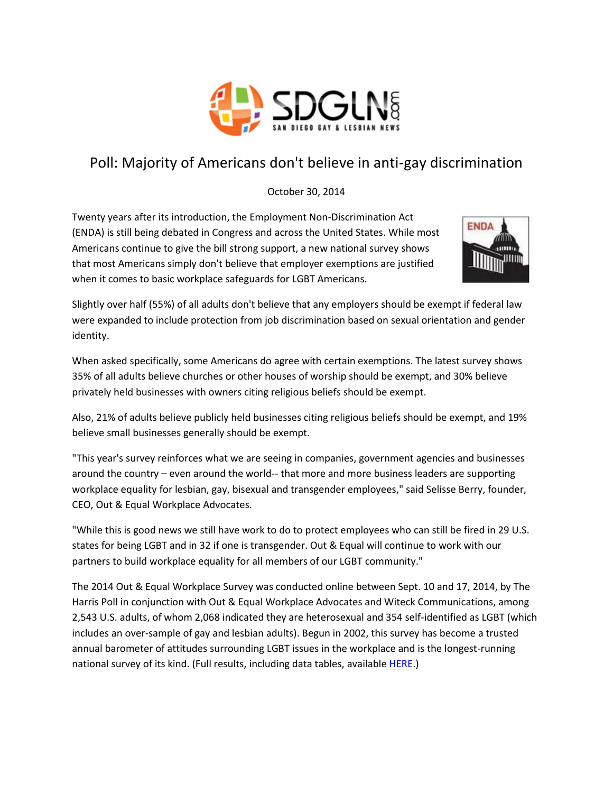

## Poll: Majority of Americans don't believe in anti-gay discrimination

October 30, 2014

Twenty years after its introduction, the Employment Non-Discrimination Act (ENDA) is still being debated in Congress and across the United States. While most Americans continue to give the bill strong support, a new national survey shows that most Americans simply don't believe that employer exemptions are justified when it comes to basic workplace safeguards for LGBT Americans.



Slightly over half (55%) of all adults don't believe that any employers should be exempt if federal law were expanded to include protection from job discrimination based on sexual orientation and gender identity.

When asked specifically, some Americans do agree with certain exemptions. The latest survey shows 35% of all adults believe churches or other houses of worship should be exempt, and 30% believe privately held businesses with owners citing religious beliefs should be exempt.

Also, 21% of adults believe publicly held businesses citing religious beliefs should be exempt, and 19% believe small businesses generally should be exempt.

"This year's survey reinforces what we are seeing in companies, government agencies and businesses around the country – even around the world-- that more and more business leaders are supporting workplace equality for lesbian, gay, bisexual and transgender employees," said Selisse Berry, founder, CEO, Out & Equal Workplace Advocates.

"While this is good news we still have work to do to protect employees who can still be fired in 29 U.S. states for being LGBT and in 32 if one is transgender. Out & Equal will continue to work with our partners to build workplace equality for all members of our LGBT community."

The 2014 Out & Equal Workplace Survey was conducted online between Sept. 10 and 17, 2014, by The Harris Poll in conjunction with Out & Equal Workplace Advocates and Witeck Communications, among 2,543 U.S. adults, of whom 2,068 indicated they are heterosexual and 354 self-identified as LGBT (which includes an over-sample of gay and lesbian adults). Begun in 2002, this survey has become a trusted annual barometer of attitudes surrounding LGBT issues in the workplace and is the longest-running national survey of its kind. (Full results, including data tables, available **HERE.)**